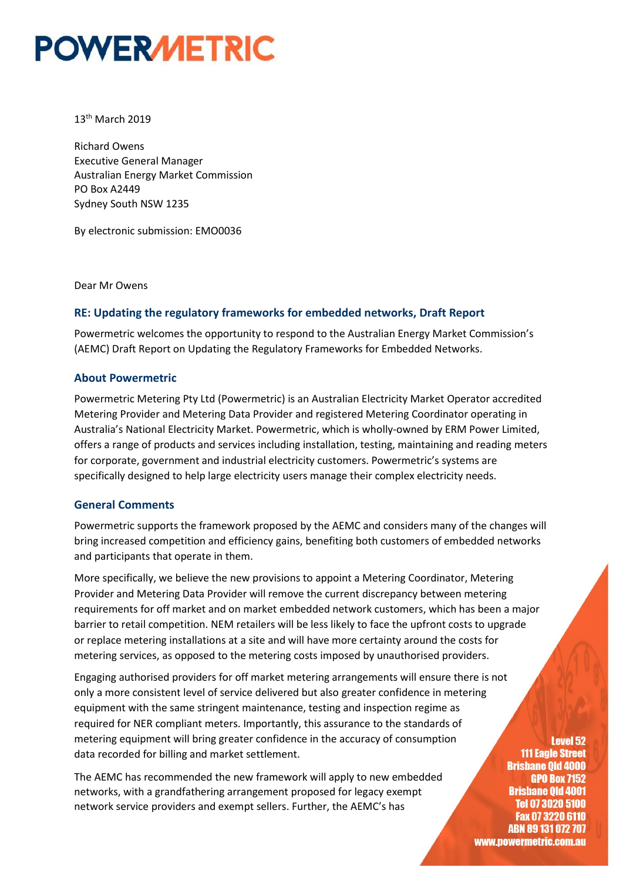# **POWERMETRIC**

#### 13<sup>th</sup> March 2019

Richard Owens Executive General Manager Australian Energy Market Commission PO Box A2449 Sydney South NSW 1235

By electronic submission: EMO0036

Dear Mr Owens

### **RE: Updating the regulatory frameworks for embedded networks, Draft Report**

Powermetric welcomes the opportunity to respond to the Australian Energy Market Commission's (AEMC) Draft Report on Updating the Regulatory Frameworks for Embedded Networks.

#### **About Powermetric**

Powermetric Metering Pty Ltd (Powermetric) is an Australian Electricity Market Operator accredited Metering Provider and Metering Data Provider and registered Metering Coordinator operating in Australia's National Electricity Market. Powermetric, which is wholly-owned by ERM Power Limited, offers a range of products and services including installation, testing, maintaining and reading meters for corporate, government and industrial electricity customers. Powermetric's systems are specifically designed to help large electricity users manage their complex electricity needs.

#### **General Comments**

Powermetric supports the framework proposed by the AEMC and considers many of the changes will bring increased competition and efficiency gains, benefiting both customers of embedded networks and participants that operate in them.

More specifically, we believe the new provisions to appoint a Metering Coordinator, Metering Provider and Metering Data Provider will remove the current discrepancy between metering requirements for off market and on market embedded network customers, which has been a major barrier to retail competition. NEM retailers will be less likely to face the upfront costs to upgrade or replace metering installations at a site and will have more certainty around the costs for metering services, as opposed to the metering costs imposed by unauthorised providers.

Engaging authorised providers for off market metering arrangements will ensure there is not only a more consistent level of service delivered but also greater confidence in metering equipment with the same stringent maintenance, testing and inspection regime as required for NER compliant meters. Importantly, this assurance to the standards of metering equipment will bring greater confidence in the accuracy of consumption data recorded for billing and market settlement.

The AEMC has recommended the new framework will apply to new embedded networks, with a grandfathering arrangement proposed for legacy exempt network service providers and exempt sellers. Further, the AEMC's has

**Level 52 111 Eagle Street Brishane Old 4000 GPO Box 7152 Brisbane Old 4001 Tel 07 3020 5100** Fax 07 3220 6110 ABN 89 131 072 707 www.powermetric.com.au